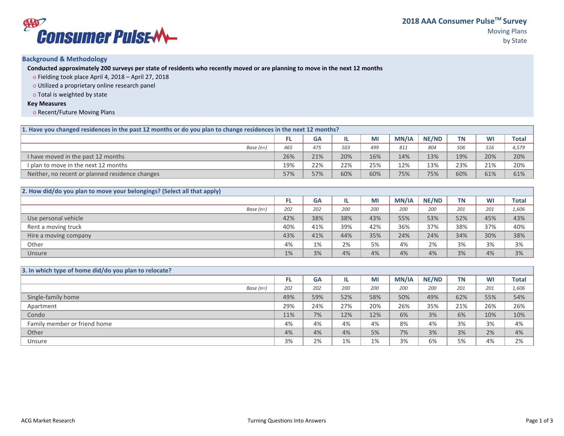

## **Background & Methodology**

**Conducted approximately 200 surveys per state of residents who recently moved or are planning to move in the next 12 months**

o Fielding took place April 4, 2018 – April 27, 2018

o Utilized a proprietary online research panel

o Total is weighted by state

## **Key Measures**

o Recent/Future Moving Plans

| 1. Have you changed residences in the past 12 months or do you plan to change residences in the next 12 months? |     |           |     |     |              |       |           |     |              |  |
|-----------------------------------------------------------------------------------------------------------------|-----|-----------|-----|-----|--------------|-------|-----------|-----|--------------|--|
|                                                                                                                 |     | <b>GA</b> | IL. | MI  | <b>MN/IA</b> | NE/ND | <b>TN</b> | WI  | <b>Total</b> |  |
| Base $(n=)$                                                                                                     | 465 | 475       | 503 | 499 | 811          | 804   | 506       | 516 | 4,579        |  |
| I have moved in the past 12 months                                                                              | 26% | 21%       | 20% | 16% | 14%          | 13%   | 19%       | 20% | 20%          |  |
| I plan to move in the next 12 months                                                                            | 19% | 22%       | 22% | 25% | 12%          | 13%   | 23%       | 21% | 20%          |  |
| Neither, no recent or planned residence changes                                                                 | 57% | 57%       | 60% | 60% | 75%          | 75%   | 60%       | 61% | 61%          |  |

| 2. How did/do you plan to move your belongings? (Select all that apply) |     |           |     |     |       |              |           |           |              |
|-------------------------------------------------------------------------|-----|-----------|-----|-----|-------|--------------|-----------|-----------|--------------|
|                                                                         |     | <b>GA</b> | IL. | MI  | MN/IA | <b>NE/ND</b> | <b>TN</b> | <b>WI</b> | <b>Total</b> |
| Base $(n=)$                                                             | 202 | 202       | 200 | 200 | 200   | 200          | 201       | 201       | 1,606        |
| Use personal vehicle                                                    | 42% | 38%       | 38% | 43% | 55%   | 53%          | 52%       | 45%       | 43%          |
| Rent a moving truck                                                     | 40% | 41%       | 39% | 42% | 36%   | 37%          | 38%       | 37%       | 40%          |
| Hire a moving company                                                   | 43% | 41%       | 44% | 35% | 24%   | 24%          | 34%       | 30%       | 38%          |
| Other                                                                   | 4%  | 1%        | 2%  | 5%  | 4%    | 2%           | 3%        | 3%        | 3%           |
| Unsure                                                                  | 1%  | 3%        | 4%  | 4%  | 4%    | 4%           | 3%        | 4%        | 3%           |

| 3. In which type of home did/do you plan to relocate? |     |           |     |     |              |              |           |           |              |
|-------------------------------------------------------|-----|-----------|-----|-----|--------------|--------------|-----------|-----------|--------------|
|                                                       | FL  | <b>GA</b> | IL. | MI  | <b>MN/IA</b> | <b>NE/ND</b> | <b>TN</b> | <b>WI</b> | <b>Total</b> |
| Base $(n=)$                                           | 202 | 202       | 200 | 200 | 200          | 200          | 201       | 201       | 1,606        |
| Single-family home                                    | 49% | 59%       | 52% | 58% | 50%          | 49%          | 62%       | 55%       | 54%          |
| Apartment                                             | 29% | 24%       | 27% | 20% | 26%          | 35%          | 21%       | 26%       | 26%          |
| Condo                                                 | 11% | 7%        | 12% | 12% | 6%           | 3%           | 6%        | 10%       | 10%          |
| Family member or friend home                          | 4%  | 4%        | 4%  | 4%  | 8%           | 4%           | 3%        | 3%        | 4%           |
| Other                                                 | 4%  | 4%        | 4%  | 5%  | 7%           | 3%           | 3%        | 2%        | 4%           |
| Unsure                                                | 3%  | 2%        | 1%  | 1%  | 3%           | 6%           | 5%        | 4%        | 2%           |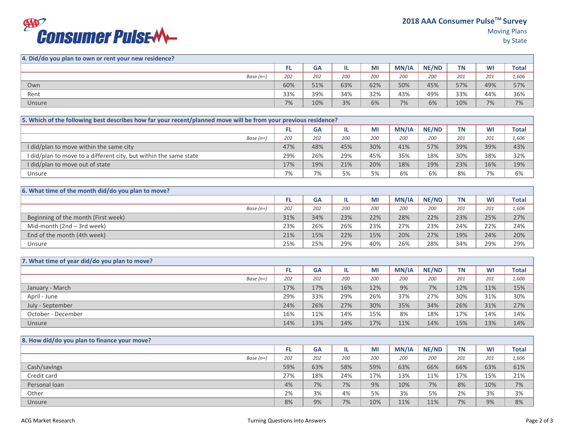## **EXPERIMED PUISE MANUSE PUISE AVECTION**

| 4. Did/do you plan to own or rent your new residence? |     |           |     |     |              |       |           |           |              |
|-------------------------------------------------------|-----|-----------|-----|-----|--------------|-------|-----------|-----------|--------------|
|                                                       | . . | <b>GA</b> | IL. | MI  | <b>MN/IA</b> | NE/ND | <b>TN</b> | <b>WI</b> | <b>Total</b> |
| Base $(n=)$                                           | 202 | 202       | 200 | 200 | 200          | 200   | 201       | 201       | 1,606        |
| Own                                                   | 60% | 51%       | 63% | 62% | 50%          | 45%   | 57%       | 49%       | 57%          |
| Rent                                                  | 33% | 39%       | 34% | 32% | 43%          | 49%   | 33%       | 44%       | 36%          |
| Unsure                                                | 7%  | 10%       | 3%  | 6%  | 7%           | 6%    | 10%       | 7%        | 7%           |

| [5. Which of the following best describes how far your recent/planned move will be from your previous residence? |     |           |     |     |       |       |     |     |              |  |
|------------------------------------------------------------------------------------------------------------------|-----|-----------|-----|-----|-------|-------|-----|-----|--------------|--|
|                                                                                                                  |     | <b>GA</b> | IL. | MI  | MN/IA | NE/ND | ΤN  | WI  | <b>Total</b> |  |
| Base ( $n=$ )                                                                                                    | 202 | 202       | 200 | 200 | 200   | 200   | 201 | 201 | 1,606        |  |
| I did/plan to move within the same city                                                                          | 47% | 48%       | 45% | 30% | 41%   | 57%   | 39% | 39% | 43%          |  |
| I did/plan to move to a different city, but within the same state                                                | 29% | 26%       | 29% | 45% | 35%   | 18%   | 30% | 38% | 32%          |  |
| I did/plan to move out of state                                                                                  | 17% | 19%       | 21% | 20% | 18%   | 19%   | 23% | 16% | 19%          |  |
| Unsure                                                                                                           | 7%  | 7%        | 5%  | 5%  | 6%    | 6%    | 8%  | 7%  | 6%           |  |

| 6. What time of the month did/do you plan to move? |     |           |     |     |              |       |           |     |              |
|----------------------------------------------------|-----|-----------|-----|-----|--------------|-------|-----------|-----|--------------|
|                                                    |     | <b>GA</b> |     | MI  | <b>MN/IA</b> | NE/ND | <b>TN</b> | WI  | <b>Total</b> |
| Base $(n=)$                                        | 202 | 202       | 200 | 200 | 200          | 200   | 201       | 201 | 1,606        |
| Beginning of the month (First week)                | 31% | 34%       | 23% | 22% | 28%          | 22%   | 23%       | 25% | 27%          |
| Mid-month (2nd – 3rd week)                         | 23% | 26%       | 26% | 23% | 27%          | 23%   | 24%       | 22% | 24%          |
| End of the month (4th week)                        | 21% | 15%       | 22% | 15% | 20%          | 27%   | 19%       | 24% | 20%          |
| Unsure                                             | 25% | 25%       | 29% | 40% | 26%          | 28%   | 34%       | 29% | 29%          |

| 7. What time of year did/do you plan to move? |     |           |     |     |              |              |           |     |              |
|-----------------------------------------------|-----|-----------|-----|-----|--------------|--------------|-----------|-----|--------------|
|                                               | FL  | <b>GA</b> | IL. | MI  | <b>MN/IA</b> | <b>NE/ND</b> | <b>TN</b> | WI  | <b>Total</b> |
| Base $(n=)$                                   | 202 | 202       | 200 | 200 | 200          | 200          | 201       | 201 | 1,606        |
| January - March                               | 17% | 17%       | 16% | 12% | 9%           | 7%           | 12%       | 11% | 15%          |
| April - June                                  | 29% | 33%       | 29% | 26% | 37%          | 27%          | 30%       | 31% | 30%          |
| July - September                              | 24% | 26%       | 27% | 30% | 35%          | 34%          | 26%       | 31% | 27%          |
| October - December                            | 16% | 11%       | 14% | 15% | 8%           | 18%          | 17%       | 14% | 14%          |
| Unsure                                        | 14% | 13%       | 14% | 17% | 11%          | 14%          | 15%       | 13% | 14%          |

| 8. How did/do you plan to finance your move? |     |     |     |     |              |              |           |     |       |
|----------------------------------------------|-----|-----|-----|-----|--------------|--------------|-----------|-----|-------|
|                                              |     | GA  | IL  | MI  | <b>MN/IA</b> | <b>NE/ND</b> | <b>TN</b> | WI  | Total |
| Base $(n=)$                                  | 202 | 202 | 200 | 200 | 200          | 200          | 201       | 201 | 1,606 |
| Cash/savings                                 | 59% | 63% | 58% | 59% | 63%          | 66%          | 66%       | 63% | 61%   |
| Credit card                                  | 27% | 18% | 24% | 17% | 13%          | 11%          | 17%       | 15% | 21%   |
| Personal loan                                | 4%  | 7%  | 7%  | 9%  | 10%          | 7%           | 8%        | 10% | 7%    |
| Other                                        | 2%  | 3%  | 4%  | 5%  | 3%           | 5%           | 2%        | 3%  | 3%    |
| Unsure                                       | 8%  | 9%  | 7%  | 10% | 11%          | 11%          | 7%        | 9%  | 8%    |